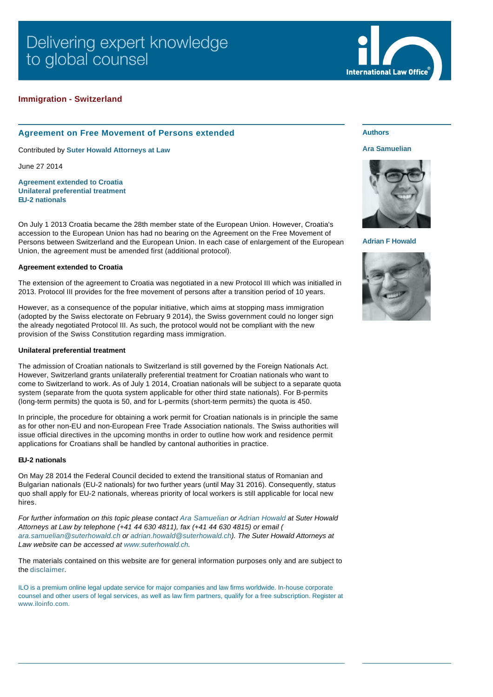## **Immigration - Switzerland**

# **Agreement on Free Movement of Persons extended**

Contributed by **[Suter Howald Attorneys at Law](http://www.internationallawoffice.com/gesr.ashx?l=7LJKE0J)**

June 27 2014

**[Agreement extended to Croatia](#page-0-0) [Unilateral preferential treatment](#page-0-1) [EU-2 nationals](#page-0-2)**

On July 1 2013 Croatia became the 28th member state of the European Union. However, Croatia's accession to the European Union has had no bearing on the Agreement on the Free Movement of Persons between Switzerland and the European Union. In each case of enlargement of the European Union, the agreement must be amended first (additional protocol).

#### <span id="page-0-0"></span>**Agreement extended to Croatia**

The extension of the agreement to Croatia was negotiated in a new Protocol III which was initialled in 2013. Protocol III provides for the free movement of persons after a transition period of 10 years.

However, as a consequence of the popular initiative, which aims at stopping mass immigration (adopted by the Swiss electorate on February 9 2014), the Swiss government could no longer sign the already negotiated Protocol III. As such, the protocol would not be compliant with the new provision of the Swiss Constitution regarding mass immigration.

#### <span id="page-0-1"></span>**Unilateral preferential treatment**

The admission of Croatian nationals to Switzerland is still governed by the Foreign Nationals Act. However, Switzerland grants unilaterally preferential treatment for Croatian nationals who want to come to Switzerland to work. As of July 1 2014, Croatian nationals will be subject to a separate quota system (separate from the quota system applicable for other third state nationals). For B-permits (long-term permits) the quota is 50, and for L-permits (short-term permits) the quota is 450.

In principle, the procedure for obtaining a work permit for Croatian nationals is in principle the same as for other non-EU and non-European Free Trade Association nationals. The Swiss authorities will issue official directives in the upcoming months in order to outline how work and residence permit applications for Croatians shall be handled by cantonal authorities in practice.

### <span id="page-0-2"></span>**EU-2 nationals**

On May 28 2014 the Federal Council decided to extend the transitional status of Romanian and Bulgarian nationals (EU-2 nationals) for two further years (until May 31 2016). Consequently, status quo shall apply for EU-2 nationals, whereas priority of local workers is still applicable for local new hires.

*For further information on this topic please contact [Ara Samuelian](http://www.internationallawoffice.com/gesr.ashx?l=7LJKE0Q) or [Adrian Howald](http://www.internationallawoffice.com/gesr.ashx?l=7LJKE1L) at Suter Howald [Attorneys at Law by telephone \(+](mailto:ara.samuelian@suterhowald.ch?subject=Article%20on%20ILO)41 44 630 4811), fax (+41 44 630 4815) or email ( ara.samuelian@suterhowald.ch or [adrian.howald@suterhowald.ch](mailto:adrian.howald@suterhowald.ch?subject=Article%20on%20ILO)). The Suter Howald Attorneys at Law website can be accessed at [www.suterhowald.ch](http://www.internationallawoffice.com/gesr.ashx?l=7LJKE1S).*

The materials contained on this website are for general information purposes only and are subject to the [disclaimer.](http://www.internationallawoffice.com/gesr.ashx?l=7LJKE2A)

ILO is a premium online legal update service for major companies and law firms worldwide. In-house corporate [counsel and othe](http://www.internationallawoffice.com/gesr.ashx?l=7LJKE2G)r users of legal services, as well as law firm partners, qualify for a free subscription. Register at www.iloinfo.com.

## **Authors**

#### **[Ara Samuelian](http://www.internationallawoffice.com/gesr.ashx?l=7LJKE0Q)**

**International Law Office** 



**[Adrian F Howald](http://www.internationallawoffice.com/gesr.ashx?l=7LJKE39)**